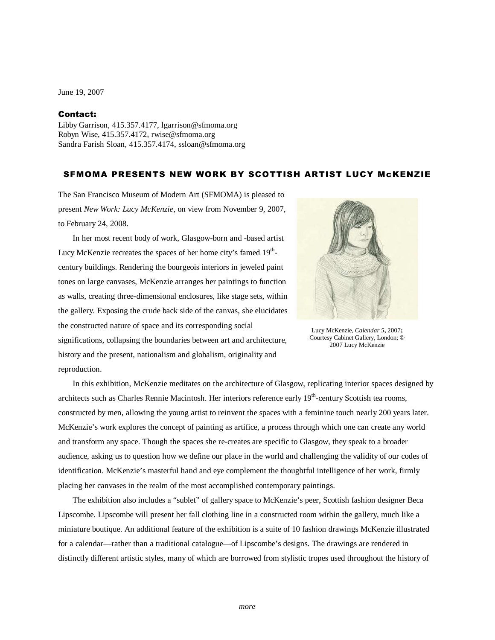June 19, 2007

## Contact:

Libby Garrison, 415.357.4177, lgarrison@sfmoma.org Robyn Wise, 415.357.4172, rwise@sfmoma.org Sandra Farish Sloan, 415.357.4174, ssloan@sfmoma.org

## SFMOMA PRESENTS NEW WORK BY SCOTTISH ARTIST LUCY McKENZIE

The San Francisco Museum of Modern Art (SFMOMA) is pleased to present *New Work: Lucy McKenzie*, on view from November 9, 2007, to February 24, 2008.

Lucy McKenzie recreates the spaces of her home city's famed 19<sup>th</sup>-

In her most recent body of work, Glasgow-born and -based artist



Lucy McKenzie, *Calendar 5***,** 2007**;**  Courtesy Cabinet Gallery, London; © 2007 Lucy McKenzie

century buildings. Rendering the bourgeois interiors in jeweled paint tones on large canvases, McKenzie arranges her paintings to function as walls, creating three-dimensional enclosures, like stage sets, within the gallery. Exposing the crude back side of the canvas, she elucidates the constructed nature of space and its corresponding social significations, collapsing the boundaries between art and architecture, history and the present, nationalism and globalism, originality and reproduction.

 In this exhibition, McKenzie meditates on the architecture of Glasgow, replicating interior spaces designed by architects such as Charles Rennie Macintosh. Her interiors reference early 19<sup>th</sup>-century Scottish tea rooms, constructed by men, allowing the young artist to reinvent the spaces with a feminine touch nearly 200 years later. McKenzie's work explores the concept of painting as artifice, a process through which one can create any world and transform any space. Though the spaces she re-creates are specific to Glasgow, they speak to a broader audience, asking us to question how we define our place in the world and challenging the validity of our codes of identification. McKenzie's masterful hand and eye complement the thoughtful intelligence of her work, firmly placing her canvases in the realm of the most accomplished contemporary paintings.

 The exhibition also includes a "sublet" of gallery space to McKenzie's peer, Scottish fashion designer Beca Lipscombe. Lipscombe will present her fall clothing line in a constructed room within the gallery, much like a miniature boutique. An additional feature of the exhibition is a suite of 10 fashion drawings McKenzie illustrated for a calendar—rather than a traditional catalogue—of Lipscombe's designs. The drawings are rendered in distinctly different artistic styles, many of which are borrowed from stylistic tropes used throughout the history of